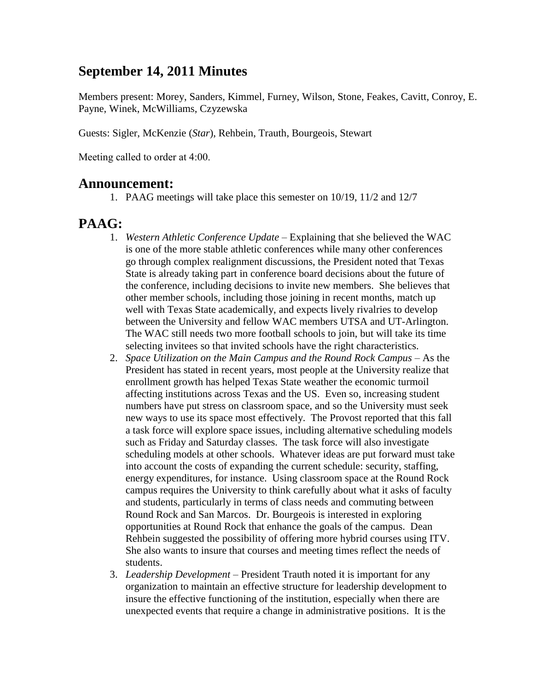#### **September 14, 2011 Minutes**

Members present: Morey, Sanders, Kimmel, Furney, Wilson, Stone, Feakes, Cavitt, Conroy, E. Payne, Winek, McWilliams, Czyzewska

Guests: Sigler, McKenzie (*Star*), Rehbein, Trauth, Bourgeois, Stewart

Meeting called to order at 4:00.

#### **Announcement:**

1. PAAG meetings will take place this semester on 10/19, 11/2 and 12/7

#### **PAAG:**

- 1. *Western Athletic Conference Update –* Explaining that she believed the WAC is one of the more stable athletic conferences while many other conferences go through complex realignment discussions, the President noted that Texas State is already taking part in conference board decisions about the future of the conference, including decisions to invite new members. She believes that other member schools, including those joining in recent months, match up well with Texas State academically, and expects lively rivalries to develop between the University and fellow WAC members UTSA and UT-Arlington. The WAC still needs two more football schools to join, but will take its time selecting invitees so that invited schools have the right characteristics.
- 2. *Space Utilization on the Main Campus and the Round Rock Campus –* As the President has stated in recent years, most people at the University realize that enrollment growth has helped Texas State weather the economic turmoil affecting institutions across Texas and the US. Even so, increasing student numbers have put stress on classroom space, and so the University must seek new ways to use its space most effectively. The Provost reported that this fall a task force will explore space issues, including alternative scheduling models such as Friday and Saturday classes. The task force will also investigate scheduling models at other schools. Whatever ideas are put forward must take into account the costs of expanding the current schedule: security, staffing, energy expenditures, for instance. Using classroom space at the Round Rock campus requires the University to think carefully about what it asks of faculty and students, particularly in terms of class needs and commuting between Round Rock and San Marcos. Dr. Bourgeois is interested in exploring opportunities at Round Rock that enhance the goals of the campus. Dean Rehbein suggested the possibility of offering more hybrid courses using ITV. She also wants to insure that courses and meeting times reflect the needs of students.
- 3. *Leadership Development –* President Trauth noted it is important for any organization to maintain an effective structure for leadership development to insure the effective functioning of the institution, especially when there are unexpected events that require a change in administrative positions. It is the